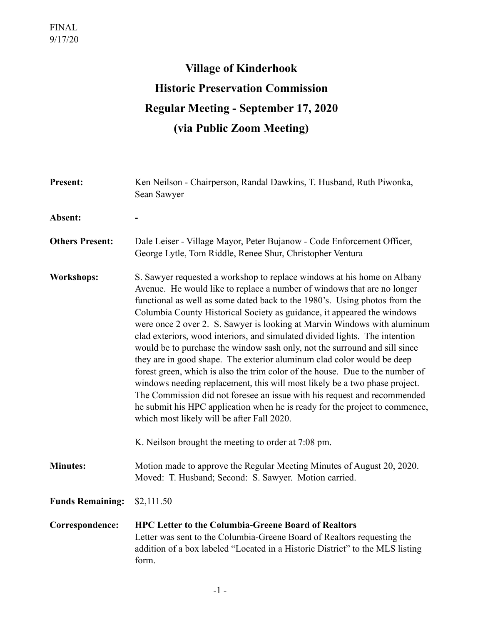# **Village of Kinderhook Historic Preservation Commission Regular Meeting - September 17, 2020 (via Public Zoom Meeting)**

| <b>Present:</b>         | Ken Neilson - Chairperson, Randal Dawkins, T. Husband, Ruth Piwonka,<br>Sean Sawyer                                                                                                                                                                                                                                                                                                                                                                                                                                                                                                                                                                                                                                                                                                                                                                                                                                                                                                                    |
|-------------------------|--------------------------------------------------------------------------------------------------------------------------------------------------------------------------------------------------------------------------------------------------------------------------------------------------------------------------------------------------------------------------------------------------------------------------------------------------------------------------------------------------------------------------------------------------------------------------------------------------------------------------------------------------------------------------------------------------------------------------------------------------------------------------------------------------------------------------------------------------------------------------------------------------------------------------------------------------------------------------------------------------------|
| Absent:                 |                                                                                                                                                                                                                                                                                                                                                                                                                                                                                                                                                                                                                                                                                                                                                                                                                                                                                                                                                                                                        |
| <b>Others Present:</b>  | Dale Leiser - Village Mayor, Peter Bujanow - Code Enforcement Officer,<br>George Lytle, Tom Riddle, Renee Shur, Christopher Ventura                                                                                                                                                                                                                                                                                                                                                                                                                                                                                                                                                                                                                                                                                                                                                                                                                                                                    |
| <b>Workshops:</b>       | S. Sawyer requested a workshop to replace windows at his home on Albany<br>Avenue. He would like to replace a number of windows that are no longer<br>functional as well as some dated back to the 1980's. Using photos from the<br>Columbia County Historical Society as guidance, it appeared the windows<br>were once 2 over 2. S. Sawyer is looking at Marvin Windows with aluminum<br>clad exteriors, wood interiors, and simulated divided lights. The intention<br>would be to purchase the window sash only, not the surround and sill since<br>they are in good shape. The exterior aluminum clad color would be deep<br>forest green, which is also the trim color of the house. Due to the number of<br>windows needing replacement, this will most likely be a two phase project.<br>The Commission did not foresee an issue with his request and recommended<br>he submit his HPC application when he is ready for the project to commence,<br>which most likely will be after Fall 2020. |
|                         | K. Neilson brought the meeting to order at 7:08 pm.                                                                                                                                                                                                                                                                                                                                                                                                                                                                                                                                                                                                                                                                                                                                                                                                                                                                                                                                                    |
| <b>Minutes:</b>         | Motion made to approve the Regular Meeting Minutes of August 20, 2020.<br>Moved: T. Husband; Second: S. Sawyer. Motion carried.                                                                                                                                                                                                                                                                                                                                                                                                                                                                                                                                                                                                                                                                                                                                                                                                                                                                        |
| <b>Funds Remaining:</b> | \$2,111.50                                                                                                                                                                                                                                                                                                                                                                                                                                                                                                                                                                                                                                                                                                                                                                                                                                                                                                                                                                                             |
| Correspondence:         | <b>HPC Letter to the Columbia-Greene Board of Realtors</b><br>Letter was sent to the Columbia-Greene Board of Realtors requesting the<br>addition of a box labeled "Located in a Historic District" to the MLS listing<br>form.                                                                                                                                                                                                                                                                                                                                                                                                                                                                                                                                                                                                                                                                                                                                                                        |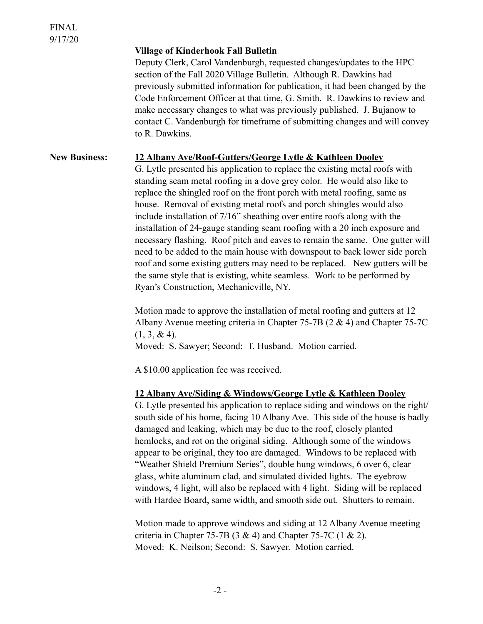### **Village of Kinderhook Fall Bulletin**

Deputy Clerk, Carol Vandenburgh, requested changes/updates to the HPC section of the Fall 2020 Village Bulletin. Although R. Dawkins had previously submitted information for publication, it had been changed by the Code Enforcement Officer at that time, G. Smith. R. Dawkins to review and make necessary changes to what was previously published. J. Bujanow to contact C. Vandenburgh for timeframe of submitting changes and will convey to R. Dawkins.

# **New Business: 12 Albany Ave/Roof-Gutters/George Lytle & Kathleen Dooley**

G. Lytle presented his application to replace the existing metal roofs with standing seam metal roofing in a dove grey color. He would also like to replace the shingled roof on the front porch with metal roofing, same as house. Removal of existing metal roofs and porch shingles would also include installation of 7/16" sheathing over entire roofs along with the installation of 24-gauge standing seam roofing with a 20 inch exposure and necessary flashing. Roof pitch and eaves to remain the same. One gutter will need to be added to the main house with downspout to back lower side porch roof and some existing gutters may need to be replaced. New gutters will be the same style that is existing, white seamless. Work to be performed by Ryan's Construction, Mechanicville, NY.

 Motion made to approve the installation of metal roofing and gutters at 12 Albany Avenue meeting criteria in Chapter 75-7B (2 & 4) and Chapter 75-7C  $(1, 3, \& 4)$ .

Moved: S. Sawyer; Second: T. Husband. Motion carried.

A \$10.00 application fee was received.

## **12 Albany Ave/Siding & Windows/George Lytle & Kathleen Dooley**

G. Lytle presented his application to replace siding and windows on the right/ south side of his home, facing 10 Albany Ave. This side of the house is badly damaged and leaking, which may be due to the roof, closely planted hemlocks, and rot on the original siding. Although some of the windows appear to be original, they too are damaged. Windows to be replaced with "Weather Shield Premium Series", double hung windows, 6 over 6, clear glass, white aluminum clad, and simulated divided lights. The eyebrow windows, 4 light, will also be replaced with 4 light. Siding will be replaced with Hardee Board, same width, and smooth side out. Shutters to remain.

Motion made to approve windows and siding at 12 Albany Avenue meeting criteria in Chapter 75-7B (3 & 4) and Chapter 75-7C (1 & 2). Moved: K. Neilson; Second: S. Sawyer. Motion carried.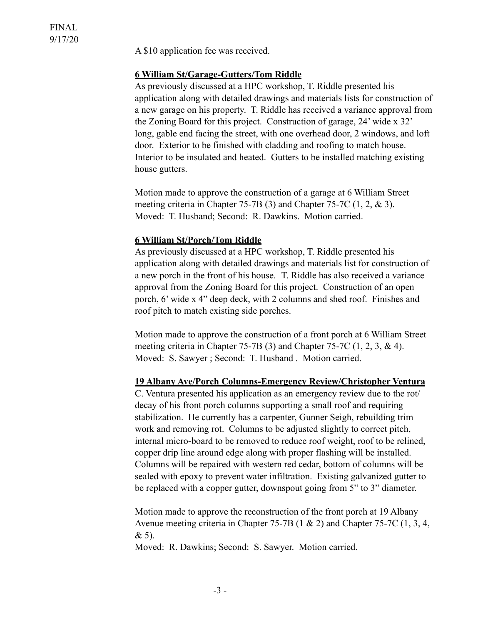A \$10 application fee was received.

# **6 William St/Garage-Gutters/Tom Riddle**

 As previously discussed at a HPC workshop, T. Riddle presented his application along with detailed drawings and materials lists for construction of a new garage on his property. T. Riddle has received a variance approval from the Zoning Board for this project. Construction of garage, 24' wide x 32' long, gable end facing the street, with one overhead door, 2 windows, and loft door. Exterior to be finished with cladding and roofing to match house. Interior to be insulated and heated. Gutters to be installed matching existing house gutters.

 Motion made to approve the construction of a garage at 6 William Street meeting criteria in Chapter 75-7B (3) and Chapter 75-7C (1, 2, & 3). Moved: T. Husband; Second: R. Dawkins. Motion carried.

#### **6 William St/Porch/Tom Riddle**

 As previously discussed at a HPC workshop, T. Riddle presented his application along with detailed drawings and materials list for construction of a new porch in the front of his house. T. Riddle has also received a variance approval from the Zoning Board for this project. Construction of an open porch, 6' wide x 4" deep deck, with 2 columns and shed roof. Finishes and roof pitch to match existing side porches.

 Motion made to approve the construction of a front porch at 6 William Street meeting criteria in Chapter 75-7B (3) and Chapter 75-7C (1, 2, 3, & 4). Moved: S. Sawyer ; Second: T. Husband . Motion carried.

#### **19 Albany Ave/Porch Columns-Emergency Review/Christopher Ventura**

 C. Ventura presented his application as an emergency review due to the rot/ decay of his front porch columns supporting a small roof and requiring stabilization. He currently has a carpenter, Gunner Seigh, rebuilding trim work and removing rot. Columns to be adjusted slightly to correct pitch, internal micro-board to be removed to reduce roof weight, roof to be relined, copper drip line around edge along with proper flashing will be installed. Columns will be repaired with western red cedar, bottom of columns will be sealed with epoxy to prevent water infiltration. Existing galvanized gutter to be replaced with a copper gutter, downspout going from 5" to 3" diameter.

 Motion made to approve the reconstruction of the front porch at 19 Albany Avenue meeting criteria in Chapter 75-7B (1 & 2) and Chapter 75-7C (1, 3, 4, & 5).

Moved: R. Dawkins; Second: S. Sawyer. Motion carried.